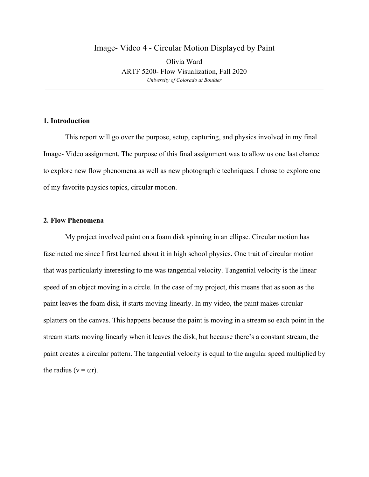# Image- Video 4 - Circular Motion Displayed by Paint Olivia Ward ARTF 5200- Flow Visualization, Fall 2020 *University of Colorado at Boulder*

## **1. Introduction**

This report will go over the purpose, setup, capturing, and physics involved in my final Image- Video assignment. The purpose of this final assignment was to allow us one last chance to explore new flow phenomena as well as new photographic techniques. I chose to explore one of my favorite physics topics, circular motion.

## **2. Flow Phenomena**

My project involved paint on a foam disk spinning in an ellipse. Circular motion has fascinated me since I first learned about it in high school physics. One trait of circular motion that was particularly interesting to me was tangential velocity. Tangential velocity is the linear speed of an object moving in a circle. In the case of my project, this means that as soon as the paint leaves the foam disk, it starts moving linearly. In my video, the paint makes circular splatters on the canvas. This happens because the paint is moving in a stream so each point in the stream starts moving linearly when it leaves the disk, but because there's a constant stream, the paint creates a circular pattern. The tangential velocity is equal to the angular speed multiplied by the radius ( $v = \omega r$ ).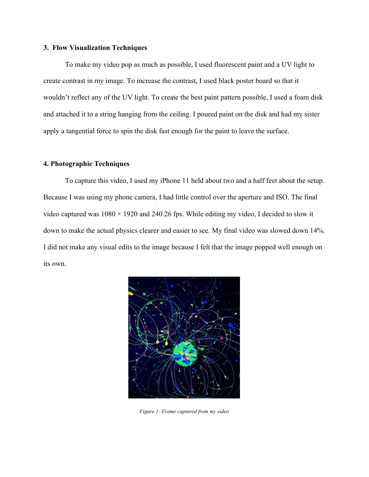#### **3. Flow Visualization Techniques**

To make my video pop as much as possible, I used fluorescent paint and a UV light to create contrast in my image. To increase the contrast, I used black poster board so that it wouldn't reflect any of the UV light. To create the best paint pattern possible, I used a foam disk and attached it to a string hanging from the ceiling. I poured paint on the disk and had my sister apply a tangential force to spin the disk fast enough for the paint to leave the surface.

#### **4. Photographic Techniques**

To capture this video, I used my iPhone 11 held about two and a half feet about the setup. Because I was using my phone camera, I had little control over the aperture and ISO. The final video captured was  $1080 \times 1920$  and 240.26 fps. While editing my video, I decided to slow it down to make the actual physics clearer and easier to see. My final video was slowed down 14%. I did not make any visual edits to the image because I felt that the image popped well enough on its own.



*Figure 1: Frame captured from my video*